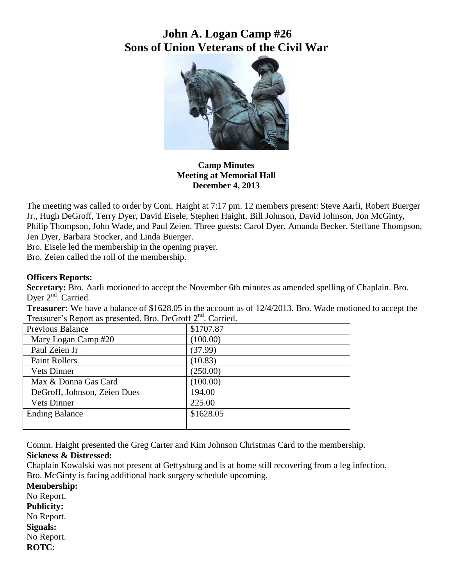# **John A. Logan Camp #26 Sons of Union Veterans of the Civil War**



**Camp Minutes Meeting at Memorial Hall December 4, 2013**

The meeting was called to order by Com. Haight at 7:17 pm. 12 members present: Steve Aarli, Robert Buerger Jr., Hugh DeGroff, Terry Dyer, David Eisele, Stephen Haight, Bill Johnson, David Johnson, Jon McGinty, Philip Thompson, John Wade, and Paul Zeien. Three guests: Carol Dyer, Amanda Becker, Steffane Thompson, Jen Dyer, Barbara Stocker, and Linda Buerger.

Bro. Eisele led the membership in the opening prayer.

Bro. Zeien called the roll of the membership.

### **Officers Reports:**

**Secretary:** Bro. Aarli motioned to accept the November 6th minutes as amended spelling of Chaplain. Bro. Dyer 2<sup>nd</sup>. Carried.

**Treasurer:** We have a balance of \$1628.05 in the account as of 12/4/2013. Bro. Wade motioned to accept the Treasurer's Report as presented. Bro. DeGroff  $2<sup>nd</sup>$ . Carried.

| <b>Previous Balance</b>      | \$1707.87 |
|------------------------------|-----------|
| Mary Logan Camp #20          | (100.00)  |
| Paul Zeien Jr                | (37.99)   |
| <b>Paint Rollers</b>         | (10.83)   |
| <b>Vets Dinner</b>           | (250.00)  |
| Max & Donna Gas Card         | (100.00)  |
| DeGroff, Johnson, Zeien Dues | 194.00    |
| <b>Vets Dinner</b>           | 225.00    |
| <b>Ending Balance</b>        | \$1628.05 |
|                              |           |

Comm. Haight presented the Greg Carter and Kim Johnson Christmas Card to the membership.

## **Sickness & Distressed:**

Chaplain Kowalski was not present at Gettysburg and is at home still recovering from a leg infection. Bro. McGinty is facing additional back surgery schedule upcoming.

**Membership:** No Report. **Publicity:** No Report. **Signals:** No Report. **ROTC:**